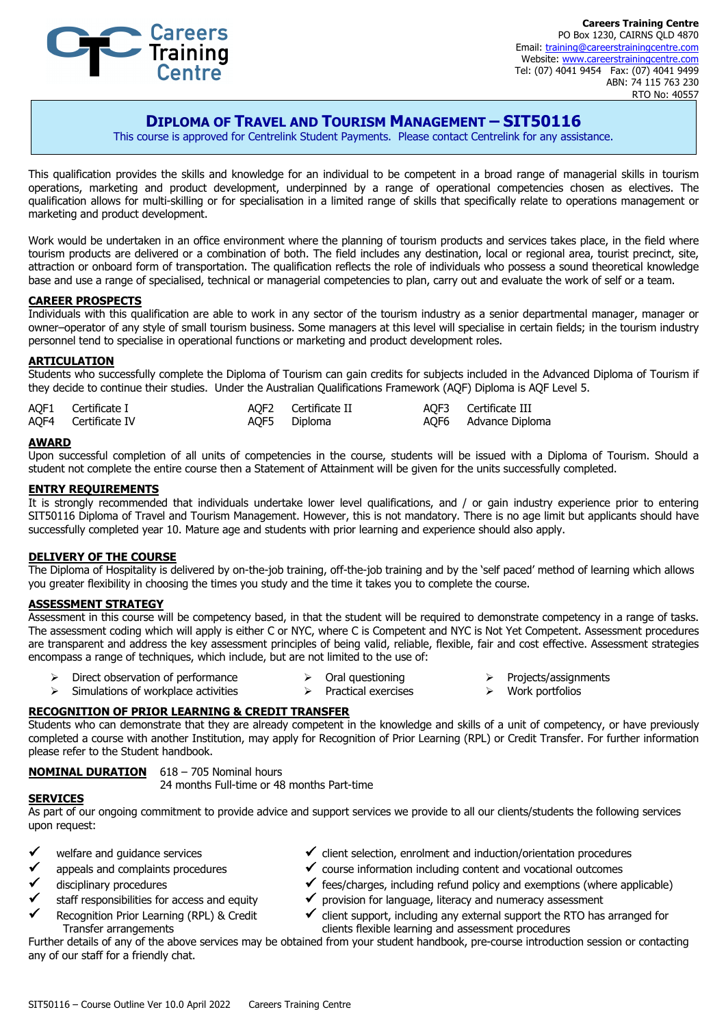

**Careers Training Centre** PO Box 1230, CAIRNS QLD 4870 Email: training@careerstrainingcentre.com Website: www.careerstrainingcentre.com Tel: (07) 4041 9454 Fax: (07) 4041 9499 ABN: 74 115 763 230 RTO No: 40557

# **DIPLOMA OF TRAVEL AND TOURISM MANAGEMENT – SIT50116**

This course is approved for Centrelink Student Payments. Please contact Centrelink for any assistance.

This qualification provides the skills and knowledge for an individual to be competent in a broad range of managerial skills in tourism operations, marketing and product development, underpinned by a range of operational competencies chosen as electives. The qualification allows for multi-skilling or for specialisation in a limited range of skills that specifically relate to operations management or marketing and product development.

Work would be undertaken in an office environment where the planning of tourism products and services takes place, in the field where tourism products are delivered or a combination of both. The field includes any destination, local or regional area, tourist precinct, site, attraction or onboard form of transportation. The qualification reflects the role of individuals who possess a sound theoretical knowledge base and use a range of specialised, technical or managerial competencies to plan, carry out and evaluate the work of self or a team.

#### **CAREER PROSPECTS**

Individuals with this qualification are able to work in any sector of the tourism industry as a senior departmental manager, manager or owner–operator of any style of small tourism business. Some managers at this level will specialise in certain fields; in the tourism industry personnel tend to specialise in operational functions or marketing and product development roles.

#### **ARTICULATION**

Students who successfully complete the Diploma of Tourism can gain credits for subjects included in the Advanced Diploma of Tourism if they decide to continue their studies. Under the Australian Qualifications Framework (AQF) Diploma is AQF Level 5.

| AQF1 Certificate I  | AQF2 Certificate II | AQF3 Certificate III |
|---------------------|---------------------|----------------------|
| AQF4 Certificate IV | AQF5 Diploma        | AQF6 Advance Diploma |

#### **AWARD**

Upon successful completion of all units of competencies in the course, students will be issued with a Diploma of Tourism. Should a student not complete the entire course then a Statement of Attainment will be given for the units successfully completed.

#### **ENTRY REQUIREMENTS**

It is strongly recommended that individuals undertake lower level qualifications, and / or gain industry experience prior to entering SIT50116 Diploma of Travel and Tourism Management. However, this is not mandatory. There is no age limit but applicants should have successfully completed year 10. Mature age and students with prior learning and experience should also apply.

#### **DELIVERY OF THE COURSE**

The Diploma of Hospitality is delivered by on-the-job training, off-the-job training and by the 'self paced' method of learning which allows you greater flexibility in choosing the times you study and the time it takes you to complete the course.

#### **ASSESSMENT STRATEGY**

Assessment in this course will be competency based, in that the student will be required to demonstrate competency in a range of tasks. The assessment coding which will apply is either C or NYC, where C is Competent and NYC is Not Yet Competent. Assessment procedures are transparent and address the key assessment principles of being valid, reliable, flexible, fair and cost effective. Assessment strategies encompass a range of techniques, which include, but are not limited to the use of:

- Direct observation of performance  $\triangleright$  Oral questioning
- $\triangleright$  Simulations of workplace activities
- $\triangleright$  Practical exercises
- $\triangleright$  Projects/assignments
- $\triangleright$  Work portfolios

### **RECOGNITION OF PRIOR LEARNING & CREDIT TRANSFER**

Students who can demonstrate that they are already competent in the knowledge and skills of a unit of competency, or have previously completed a course with another Institution, may apply for Recognition of Prior Learning (RPL) or Credit Transfer. For further information please refer to the Student handbook.

### **NOMINAL DURATION** 618 – 705 Nominal hours

24 months Full-time or 48 months Part-time

#### **SERVICES**

As part of our ongoing commitment to provide advice and support services we provide to all our clients/students the following services upon request:

- welfare and guidance services
- appeals and complaints procedures
- disciplinary procedures
- staff responsibilities for access and equity
- Recognition Prior Learning (RPL) & Credit Transfer arrangements
- $\checkmark$  client selection, enrolment and induction/orientation procedures
- $\checkmark$  course information including content and vocational outcomes
- $\checkmark$  fees/charges, including refund policy and exemptions (where applicable)
- $\checkmark$  provision for language, literacy and numeracy assessment
- $\checkmark$  client support, including any external support the RTO has arranged for clients flexible learning and assessment procedures

Further details of any of the above services may be obtained from your student handbook, pre-course introduction session or contacting any of our staff for a friendly chat.